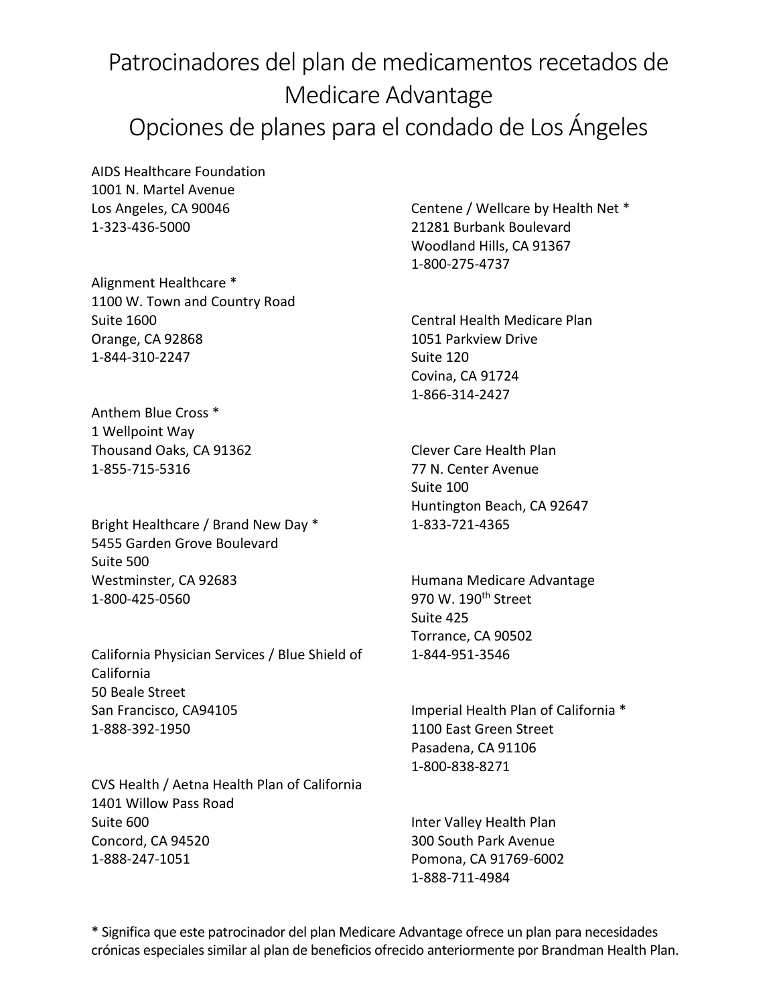## Patrocinadores del plan de medicamentos recetados de Medicare Advantage Opciones de planes para el condado de Los Ángeles

AIDS Healthcare Foundation 1001 N. Martel Avenue Los Angeles, CA 90046 1-323-436-5000

Alignment Healthcare \* 1100 W. Town and Country Road Suite 1600 Orange, CA 92868 1-844-310-2247

Anthem Blue Cross \* 1 Wellpoint Way Thousand Oaks, CA 91362 1-855-715-5316

Bright Healthcare / Brand New Day \* 5455 Garden Grove Boulevard Suite 500 Westminster, CA 92683 1-800-425-0560

California Physician Services / Blue Shield of California 50 Beale Street San Francisco, CA94105 1-888-392-1950

CVS Health / Aetna Health Plan of California 1401 Willow Pass Road Suite 600 Concord, CA 94520 1-888-247-1051

Centene / Wellcare by Health Net \* 21281 Burbank Boulevard Woodland Hills, CA 91367 1-800-275-4737

Central Health Medicare Plan 1051 Parkview Drive Suite 120 Covina, CA 91724 1-866-314-2427

Clever Care Health Plan 77 N. Center Avenue Suite 100 Huntington Beach, CA 92647 1-833-721-4365

Humana Medicare Advantage 970 W. 190<sup>th</sup> Street Suite 425 Torrance, CA 90502 1-844-951-3546

Imperial Health Plan of California \* 1100 East Green Street Pasadena, CA 91106 1-800-838-8271

Inter Valley Health Plan 300 South Park Avenue Pomona, CA 91769-6002 1-888-711-4984

\* Significa que este patrocinador del plan Medicare Advantage ofrece un plan para necesidades crónicas especiales similar al plan de beneficios ofrecido anteriormente por Brandman Health Plan.